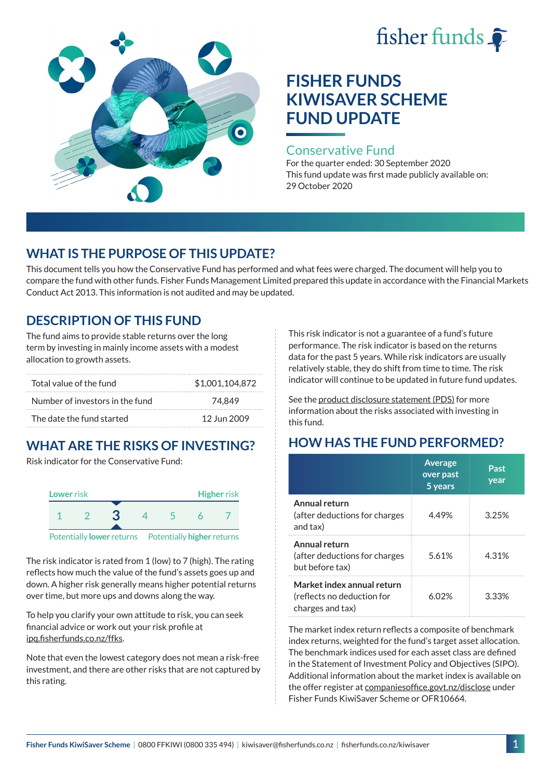# fisher funds



# **FISHER FUNDS KIWISAVER SCHEME FUND UPDATE**

### Conservative Fund

For the quarter ended: 30 September 2020 This fund update was first made publicly available on: 29 October 2020

## **WHAT IS THE PURPOSE OF THIS UPDATE?**

This document tells you how the Conservative Fund has performed and what fees were charged. The document will help you to compare the fund with other funds. Fisher Funds Management Limited prepared this update in accordance with the Financial Markets Conduct Act 2013. This information is not audited and may be updated.

## **DESCRIPTION OF THIS FUND**

The fund aims to provide stable returns over the long term by investing in mainly income assets with a modest allocation to growth assets.

| Total value of the fund         | \$1,001,104,872 |
|---------------------------------|-----------------|
| Number of investors in the fund | 74.849          |
| The date the fund started       | 12 Jun 2009     |

# **WHAT ARE THE RISKS OF INVESTING?**

Risk indicator for the Conservative Fund:



The risk indicator is rated from 1 (low) to 7 (high). The rating reflects how much the value of the fund's assets goes up and down. A higher risk generally means higher potential returns over time, but more ups and downs along the way.

To help you clarify your own attitude to risk, you can seek financial advice or work out your risk profile at [ipq.fisherfunds.co.nz/ffks](https://ipq.fisherfunds.co.nz/ffks).

Note that even the lowest category does not mean a risk-free investment, and there are other risks that are not captured by this rating.

This risk indicator is not a guarantee of a fund's future performance. The risk indicator is based on the returns data for the past 5 years. While risk indicators are usually relatively stable, they do shift from time to time. The risk indicator will continue to be updated in future fund updates.

See the [product disclosure statement \(PDS\)](https://fisherfunds.co.nz/assets/PDS/Fisher-Funds-KiwiSaver-Scheme-PDS.pdf) for more information about the risks associated with investing in this fund.

## **HOW HAS THE FUND PERFORMED?**

|                                                                              | <b>Average</b><br>over past<br>5 years | Past<br>year |
|------------------------------------------------------------------------------|----------------------------------------|--------------|
| Annual return<br>(after deductions for charges<br>and tax)                   | 4.49%                                  | 3.25%        |
| Annual return<br>(after deductions for charges<br>but before tax)            | 5.61%                                  | 4.31%        |
| Market index annual return<br>(reflects no deduction for<br>charges and tax) | 6 በ2%                                  | 3.33%        |

The market index return reflects a composite of benchmark index returns, weighted for the fund's target asset allocation. The benchmark indices used for each asset class are defined in the Statement of Investment Policy and Objectives (SIPO). Additional information about the market index is available on the offer register at [companiesoffice.govt.nz/disclose](http://companiesoffice.govt.nz/disclose) under Fisher Funds KiwiSaver Scheme or OFR10664.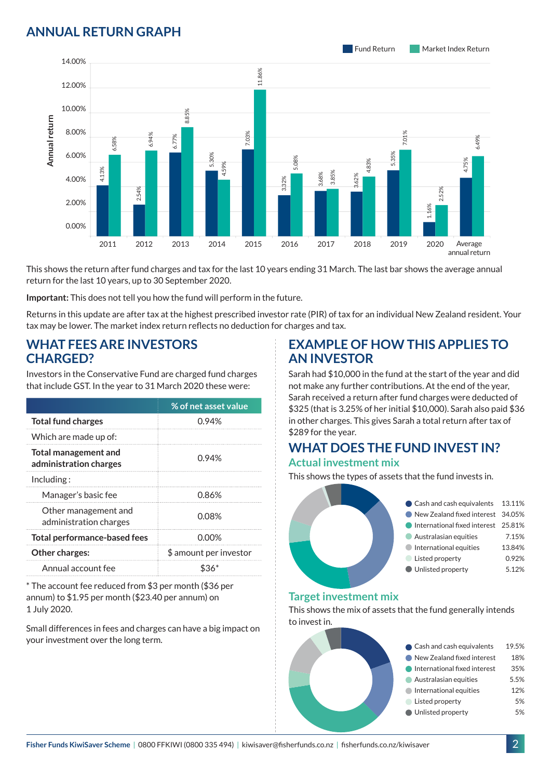## **ANNUAL RETURN GRAPH**



This shows the return after fund charges and tax for the last 10 years ending 31 March. The last bar shows the average annual return for the last 10 years, up to 30 September 2020.

**Important:** This does not tell you how the fund will perform in the future.

Returns in this update are after tax at the highest prescribed investor rate (PIR) of tax for an individual New Zealand resident. Your tax may be lower. The market index return reflects no deduction for charges and tax.

### **WHAT FEES ARE INVESTORS CHARGED?**

|                                                                                                                             |                                                |       |                                     | 8.8   |                                                                                                                                       |       |
|-----------------------------------------------------------------------------------------------------------------------------|------------------------------------------------|-------|-------------------------------------|-------|---------------------------------------------------------------------------------------------------------------------------------------|-------|
|                                                                                                                             | 8.00%                                          |       | 6.94%                               | 6.77% |                                                                                                                                       | 7.03% |
| Annual return                                                                                                               | 6.00%                                          | 6.58% |                                     |       | 5.30%                                                                                                                                 |       |
|                                                                                                                             | 4.00%                                          | 4.13% |                                     |       | 4.59%                                                                                                                                 |       |
|                                                                                                                             | 2.00%                                          |       | 54%                                 |       |                                                                                                                                       |       |
|                                                                                                                             | 0.00%                                          |       |                                     |       |                                                                                                                                       |       |
|                                                                                                                             |                                                | 2011  | 2012                                | 2013  | 2014                                                                                                                                  | 2015  |
|                                                                                                                             |                                                |       |                                     |       | This shows the return after fund charges and tax for the last 10<br>return for the last 10 years, up to 30 September 2020.            |       |
|                                                                                                                             |                                                |       |                                     |       | Important: This does not tell you how the fund will perform in th                                                                     |       |
|                                                                                                                             |                                                |       |                                     |       | Returns in this update are after tax at the highest prescribed inv<br>tax may be lower. The market index return reflects no deductior |       |
|                                                                                                                             |                                                |       |                                     |       |                                                                                                                                       |       |
| <b>CHARGED?</b>                                                                                                             |                                                |       | <b>WHAT FEES ARE INVESTORS</b>      |       |                                                                                                                                       |       |
|                                                                                                                             |                                                |       |                                     |       | Investors in the Conservative Fund are charged fund charges                                                                           |       |
|                                                                                                                             |                                                |       |                                     |       | that include GST. In the year to 31 March 2020 these were:                                                                            |       |
|                                                                                                                             |                                                |       |                                     |       | % of net asset value                                                                                                                  |       |
|                                                                                                                             | <b>Total fund charges</b>                      |       |                                     |       | 0.94%                                                                                                                                 |       |
|                                                                                                                             | Which are made up of:                          |       |                                     |       |                                                                                                                                       |       |
| <b>Total management and</b><br>administration charges                                                                       |                                                |       | 0.94%                               |       |                                                                                                                                       |       |
| Including:                                                                                                                  |                                                |       |                                     |       |                                                                                                                                       |       |
| Manager's basic fee                                                                                                         |                                                |       |                                     | 0.86% |                                                                                                                                       |       |
|                                                                                                                             | Other management and<br>administration charges |       | 0.08%                               |       |                                                                                                                                       |       |
| <b>Total performance-based fees</b>                                                                                         |                                                |       | $0.00\%$                            |       |                                                                                                                                       |       |
|                                                                                                                             | Other charges:                                 |       |                                     |       | \$ amount per investor                                                                                                                |       |
|                                                                                                                             | Annual account fee                             |       |                                     |       | \$36*                                                                                                                                 |       |
| * The account fee reduced from \$3 per month (\$36 per<br>annum) to \$1.95 per month (\$23.40 per annum) on<br>1 July 2020. |                                                |       |                                     |       |                                                                                                                                       |       |
|                                                                                                                             |                                                |       | your investment over the long term. |       | Small differences in fees and charges can have a big impact on                                                                        |       |

## **EXAMPLE OF HOW THIS APPLIES TO AN INVESTOR**

Sarah had \$10,000 in the fund at the start of the year and did not make any further contributions. At the end of the year, Sarah received a return after fund charges were deducted of \$325 (that is 3.25% of her initial \$10,000). Sarah also paid \$36 in other charges. This gives Sarah a total return after tax of \$289 for the year.

#### **WHAT DOES THE FUND INVEST IN? Actual investment mix**

This shows the types of assets that the fund invests in.



#### **Target investment mix**

This shows the mix of assets that the fund generally intends to invest in.